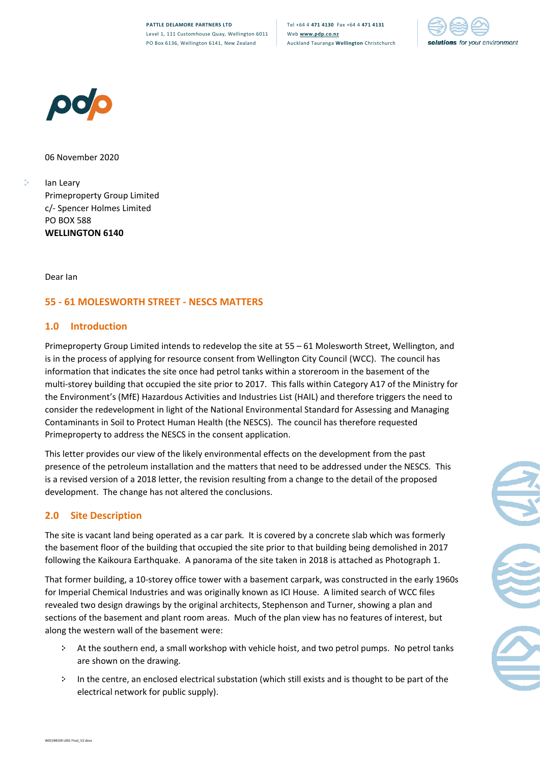



06 November 2020

Ian Leary Primeproperty Group Limited c/- Spencer Holmes Limited PO BOX 588 **WELLINGTON 6140**

Dear Ian

•

## **55 - 61 MOLESWORTH STREET - NESCS MATTERS**

## **1.0 Introduction**

Primeproperty Group Limited intends to redevelop the site at 55 – 61 Molesworth Street, Wellington, and is in the process of applying for resource consent from Wellington City Council (WCC). The council has information that indicates the site once had petrol tanks within a storeroom in the basement of the multi-storey building that occupied the site prior to 2017. This falls within Category A17 of the Ministry for the Environment's (MfE) Hazardous Activities and Industries List (HAIL) and therefore triggers the need to consider the redevelopment in light of the National Environmental Standard for Assessing and Managing Contaminants in Soil to Protect Human Health (the NESCS). The council has therefore requested Primeproperty to address the NESCS in the consent application.

This letter provides our view of the likely environmental effects on the development from the past presence of the petroleum installation and the matters that need to be addressed under the NESCS. This is a revised version of a 2018 letter, the revision resulting from a change to the detail of the proposed development. The change has not altered the conclusions.

## **2.0 Site Description**

The site is vacant land being operated as a car park. It is covered by a concrete slab which was formerly the basement floor of the building that occupied the site prior to that building being demolished in 2017 following the Kaikoura Earthquake. A panorama of the site taken in 2018 is attached as Photograph 1.

That former building, a 10-storey office tower with a basement carpark, was constructed in the early 1960s for Imperial Chemical Industries and was originally known as ICI House. A limited search of WCC files revealed two design drawings by the original architects, Stephenson and Turner, showing a plan and sections of the basement and plant room areas. Much of the plan view has no features of interest, but along the western wall of the basement were:

- At the southern end, a small workshop with vehicle hoist, and two petrol pumps. No petrol tanks are shown on the drawing.
- In the centre, an enclosed electrical substation (which still exists and is thought to be part of the electrical network for public supply).

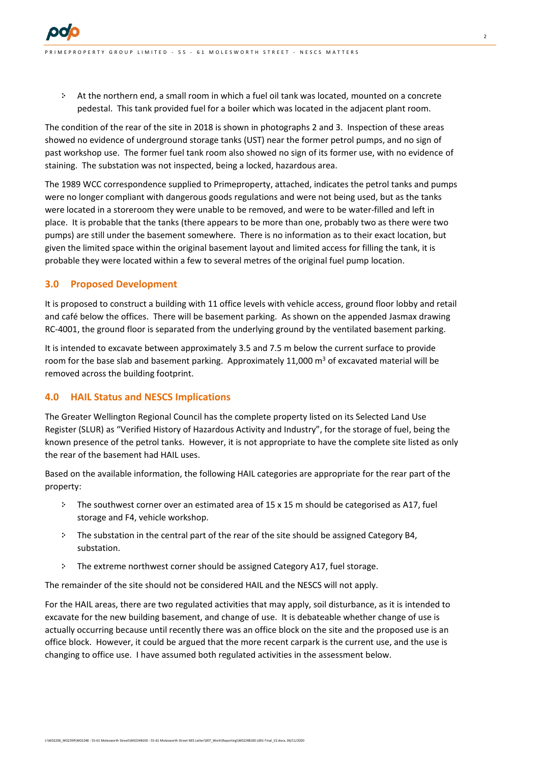• At the northern end, a small room in which a fuel oil tank was located, mounted on a concrete pedestal. This tank provided fuel for a boiler which was located in the adjacent plant room.

The condition of the rear of the site in 2018 is shown in photographs 2 and 3. Inspection of these areas showed no evidence of underground storage tanks (UST) near the former petrol pumps, and no sign of past workshop use. The former fuel tank room also showed no sign of its former use, with no evidence of staining. The substation was not inspected, being a locked, hazardous area.

The 1989 WCC correspondence supplied to Primeproperty, attached, indicates the petrol tanks and pumps were no longer compliant with dangerous goods regulations and were not being used, but as the tanks were located in a storeroom they were unable to be removed, and were to be water-filled and left in place. It is probable that the tanks (there appears to be more than one, probably two as there were two pumps) are still under the basement somewhere. There is no information as to their exact location, but given the limited space within the original basement layout and limited access for filling the tank, it is probable they were located within a few to several metres of the original fuel pump location.

#### **3.0 Proposed Development**

It is proposed to construct a building with 11 office levels with vehicle access, ground floor lobby and retail and café below the offices. There will be basement parking. As shown on the appended Jasmax drawing RC-4001, the ground floor is separated from the underlying ground by the ventilated basement parking.

It is intended to excavate between approximately 3.5 and 7.5 m below the current surface to provide room for the base slab and basement parking. Approximately 11,000  $\text{m}^3$  of excavated material will be removed across the building footprint.

#### **4.0 HAIL Status and NESCS Implications**

The Greater Wellington Regional Council has the complete property listed on its Selected Land Use Register (SLUR) as "Verified History of Hazardous Activity and Industry", for the storage of fuel, being the known presence of the petrol tanks. However, it is not appropriate to have the complete site listed as only the rear of the basement had HAIL uses.

Based on the available information, the following HAIL categories are appropriate for the rear part of the property:

- $\div$  The southwest corner over an estimated area of 15 x 15 m should be categorised as A17, fuel storage and F4, vehicle workshop.
- The substation in the central part of the rear of the site should be assigned Category B4, substation.
- The extreme northwest corner should be assigned Category A17, fuel storage.

The remainder of the site should not be considered HAIL and the NESCS will not apply.

For the HAIL areas, there are two regulated activities that may apply, soil disturbance, as it is intended to excavate for the new building basement, and change of use. It is debateable whether change of use is actually occurring because until recently there was an office block on the site and the proposed use is an office block. However, it could be argued that the more recent carpark is the current use, and the use is changing to office use. I have assumed both regulated activities in the assessment below.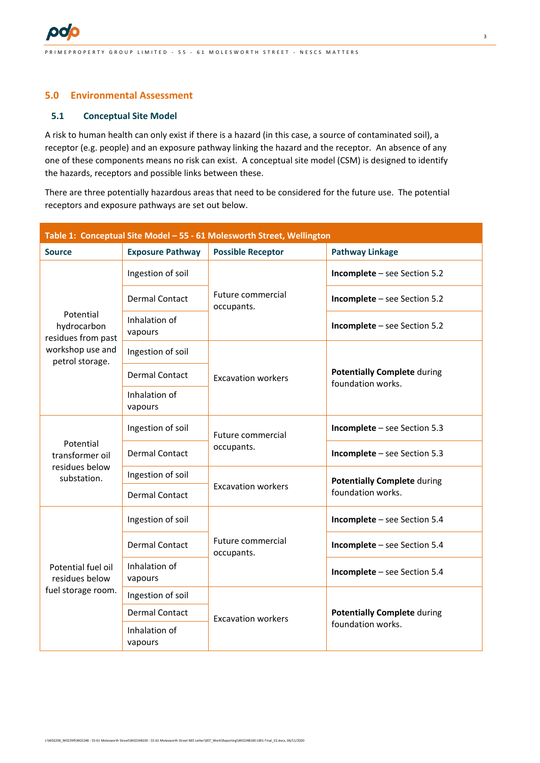

## **5.0 Environmental Assessment**

#### **5.1 Conceptual Site Model**

A risk to human health can only exist if there is a hazard (in this case, a source of contaminated soil), a receptor (e.g. people) and an exposure pathway linking the hazard and the receptor. An absence of any one of these components means no risk can exist. A conceptual site model (CSM) is designed to identify the hazards, receptors and possible links between these.

There are three potentially hazardous areas that need to be considered for the future use. The potential receptors and exposure pathways are set out below.

| Table 1: Conceptual Site Model - 55 - 61 Molesworth Street, Wellington                |                          |                                 |                                                         |
|---------------------------------------------------------------------------------------|--------------------------|---------------------------------|---------------------------------------------------------|
| <b>Source</b>                                                                         | <b>Exposure Pathway</b>  | <b>Possible Receptor</b>        | <b>Pathway Linkage</b>                                  |
| Potential<br>hydrocarbon<br>residues from past<br>workshop use and<br>petrol storage. | Ingestion of soil        | Future commercial<br>occupants. | Incomplete - see Section 5.2                            |
|                                                                                       | <b>Dermal Contact</b>    |                                 | Incomplete - see Section 5.2                            |
|                                                                                       | Inhalation of<br>vapours |                                 | Incomplete - see Section 5.2                            |
|                                                                                       | Ingestion of soil        | <b>Excavation workers</b>       | <b>Potentially Complete during</b><br>foundation works. |
|                                                                                       | <b>Dermal Contact</b>    |                                 |                                                         |
|                                                                                       | Inhalation of<br>vapours |                                 |                                                         |
| Potential<br>transformer oil<br>residues below<br>substation.                         | Ingestion of soil        | Future commercial<br>occupants. | Incomplete - see Section 5.3                            |
|                                                                                       | <b>Dermal Contact</b>    |                                 | Incomplete - see Section 5.3                            |
|                                                                                       | Ingestion of soil        | <b>Excavation workers</b>       | <b>Potentially Complete during</b><br>foundation works. |
|                                                                                       | <b>Dermal Contact</b>    |                                 |                                                         |
| Potential fuel oil<br>residues below<br>fuel storage room.                            | Ingestion of soil        | Future commercial<br>occupants. | Incomplete - see Section 5.4                            |
|                                                                                       | <b>Dermal Contact</b>    |                                 | Incomplete - see Section 5.4                            |
|                                                                                       | Inhalation of<br>vapours |                                 | Incomplete - see Section 5.4                            |
|                                                                                       | Ingestion of soil        | <b>Excavation workers</b>       | <b>Potentially Complete during</b><br>foundation works. |
|                                                                                       | <b>Dermal Contact</b>    |                                 |                                                         |
|                                                                                       | Inhalation of<br>vapours |                                 |                                                         |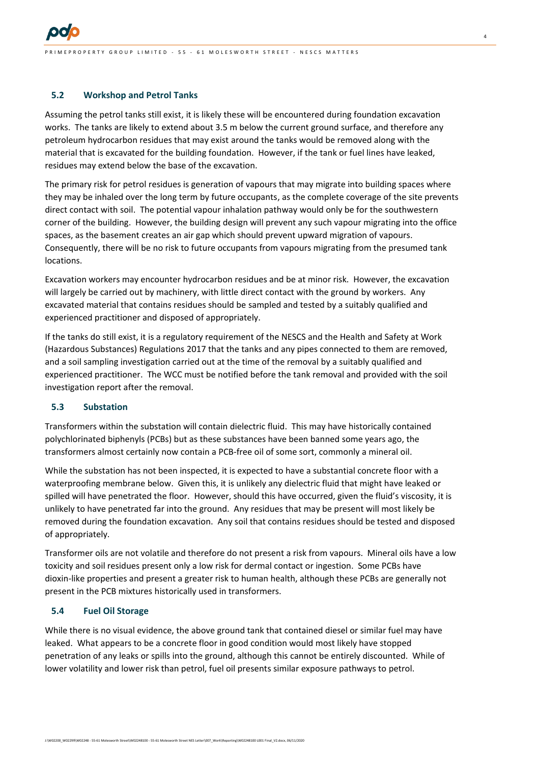

I M E P R O P E R TY G R O U P L I M I T E D - 55 - 61 M O L E S W O R T H S T R E E T - N E S C S M A T T E R S

#### **5.2 Workshop and Petrol Tanks**

Assuming the petrol tanks still exist, it is likely these will be encountered during foundation excavation works. The tanks are likely to extend about 3.5 m below the current ground surface, and therefore any petroleum hydrocarbon residues that may exist around the tanks would be removed along with the material that is excavated for the building foundation. However, if the tank or fuel lines have leaked, residues may extend below the base of the excavation.

The primary risk for petrol residues is generation of vapours that may migrate into building spaces where they may be inhaled over the long term by future occupants, as the complete coverage of the site prevents direct contact with soil. The potential vapour inhalation pathway would only be for the southwestern corner of the building. However, the building design will prevent any such vapour migrating into the office spaces, as the basement creates an air gap which should prevent upward migration of vapours. Consequently, there will be no risk to future occupants from vapours migrating from the presumed tank locations.

Excavation workers may encounter hydrocarbon residues and be at minor risk. However, the excavation will largely be carried out by machinery, with little direct contact with the ground by workers. Any excavated material that contains residues should be sampled and tested by a suitably qualified and experienced practitioner and disposed of appropriately.

If the tanks do still exist, it is a regulatory requirement of the NESCS and the Health and Safety at Work (Hazardous Substances) Regulations 2017 that the tanks and any pipes connected to them are removed, and a soil sampling investigation carried out at the time of the removal by a suitably qualified and experienced practitioner. The WCC must be notified before the tank removal and provided with the soil investigation report after the removal.

#### **5.3 Substation**

Transformers within the substation will contain dielectric fluid. This may have historically contained polychlorinated biphenyls (PCBs) but as these substances have been banned some years ago, the transformers almost certainly now contain a PCB-free oil of some sort, commonly a mineral oil.

While the substation has not been inspected, it is expected to have a substantial concrete floor with a waterproofing membrane below. Given this, it is unlikely any dielectric fluid that might have leaked or spilled will have penetrated the floor. However, should this have occurred, given the fluid's viscosity, it is unlikely to have penetrated far into the ground. Any residues that may be present will most likely be removed during the foundation excavation. Any soil that contains residues should be tested and disposed of appropriately.

Transformer oils are not volatile and therefore do not present a risk from vapours. Mineral oils have a low toxicity and soil residues present only a low risk for dermal contact or ingestion. Some PCBs have dioxin-like properties and present a greater risk to human health, although these PCBs are generally not present in the PCB mixtures historically used in transformers.

#### **5.4 Fuel Oil Storage**

While there is no visual evidence, the above ground tank that contained diesel or similar fuel may have leaked. What appears to be a concrete floor in good condition would most likely have stopped penetration of any leaks or spills into the ground, although this cannot be entirely discounted. While of lower volatility and lower risk than petrol, fuel oil presents similar exposure pathways to petrol.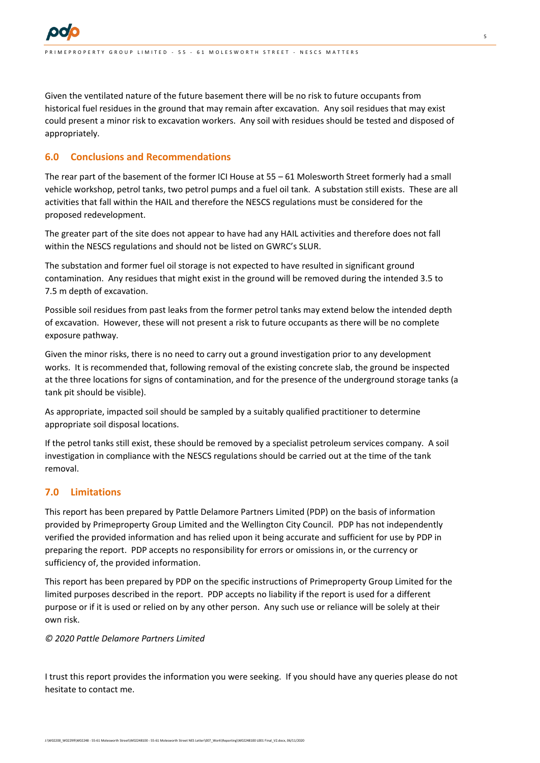

Given the ventilated nature of the future basement there will be no risk to future occupants from historical fuel residues in the ground that may remain after excavation. Any soil residues that may exist could present a minor risk to excavation workers. Any soil with residues should be tested and disposed of appropriately.

#### **6.0 Conclusions and Recommendations**

The rear part of the basement of the former ICI House at 55 – 61 Molesworth Street formerly had a small vehicle workshop, petrol tanks, two petrol pumps and a fuel oil tank. A substation still exists. These are all activities that fall within the HAIL and therefore the NESCS regulations must be considered for the proposed redevelopment.

The greater part of the site does not appear to have had any HAIL activities and therefore does not fall within the NESCS regulations and should not be listed on GWRC's SLUR.

The substation and former fuel oil storage is not expected to have resulted in significant ground contamination. Any residues that might exist in the ground will be removed during the intended 3.5 to 7.5 m depth of excavation.

Possible soil residues from past leaks from the former petrol tanks may extend below the intended depth of excavation. However, these will not present a risk to future occupants as there will be no complete exposure pathway.

Given the minor risks, there is no need to carry out a ground investigation prior to any development works. It is recommended that, following removal of the existing concrete slab, the ground be inspected at the three locations for signs of contamination, and for the presence of the underground storage tanks (a tank pit should be visible).

As appropriate, impacted soil should be sampled by a suitably qualified practitioner to determine appropriate soil disposal locations.

If the petrol tanks still exist, these should be removed by a specialist petroleum services company. A soil investigation in compliance with the NESCS regulations should be carried out at the time of the tank removal.

### **7.0 Limitations**

This report has been prepared by Pattle Delamore Partners Limited (PDP) on the basis of information provided by Primeproperty Group Limited and the Wellington City Council. PDP has not independently verified the provided information and has relied upon it being accurate and sufficient for use by PDP in preparing the report. PDP accepts no responsibility for errors or omissions in, or the currency or sufficiency of, the provided information.

This report has been prepared by PDP on the specific instructions of Primeproperty Group Limited for the limited purposes described in the report. PDP accepts no liability if the report is used for a different purpose or if it is used or relied on by any other person. Any such use or reliance will be solely at their own risk.

#### *© 2020 Pattle Delamore Partners Limited*

I trust this report provides the information you were seeking. If you should have any queries please do not hesitate to contact me.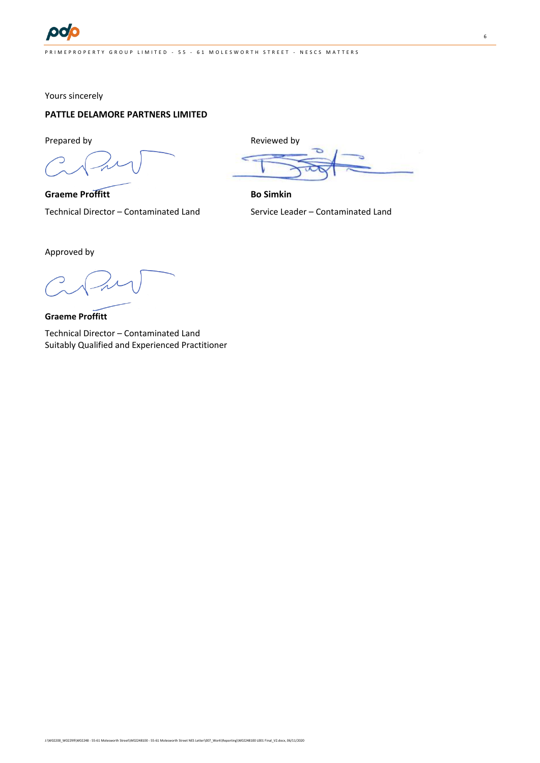Yours sincerely

## **PATTLE DELAMORE PARTNERS LIMITED**

Prepared by Prepared by Reviewed by Reviewed by

**Graeme Proffitt Bo Simkin** Technical Director – Contaminated Land Service Leader – Contaminated Land

Approved by

**Graeme Proffitt**

Technical Director – Contaminated Land Suitably Qualified and Experienced Practitioner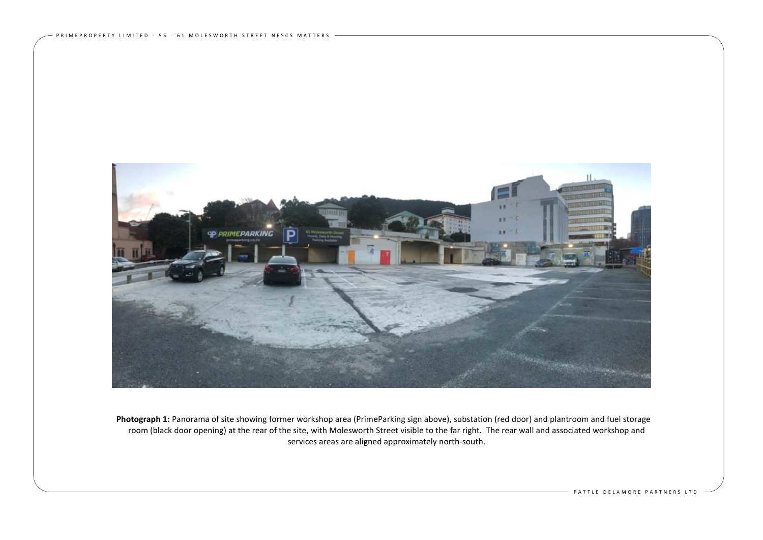

Photograph 1: Panorama of site showing former workshop area (PrimeParking sign above), substation (red door) and plantroom and fuel storage room (black door opening) at the rear of the site, with Molesworth Street visible to the far right. The rear wall and associated workshop and services areas are aligned approximately north-south.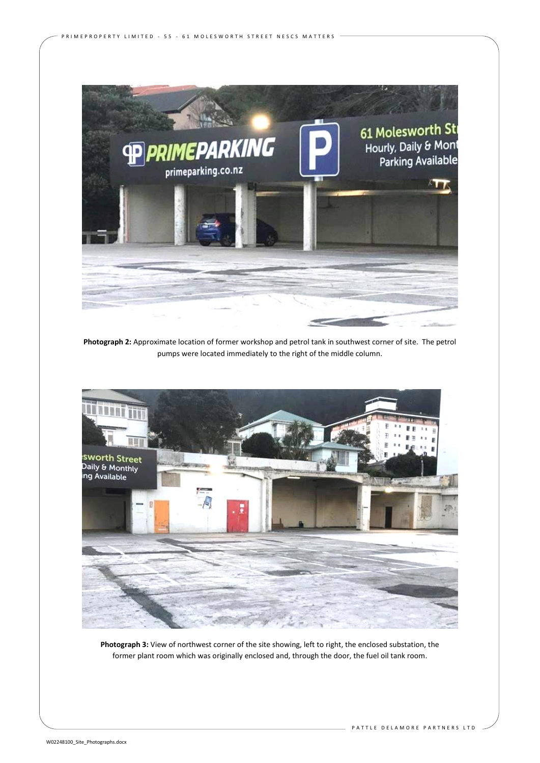

P R I M E P R O P E R T Y L I M I T E D - 55 - 61 M O L E S W O R T H S T R E E T N E S C S M A T T E R S -

**Photograph 2:** Approximate location of former workshop and petrol tank in southwest corner of site. The petrol pumps were located immediately to the right of the middle column.



**Photograph 3:** View of northwest corner of the site showing, left to right, the enclosed substation, the former plant room which was originally enclosed and, through the door, the fuel oil tank room.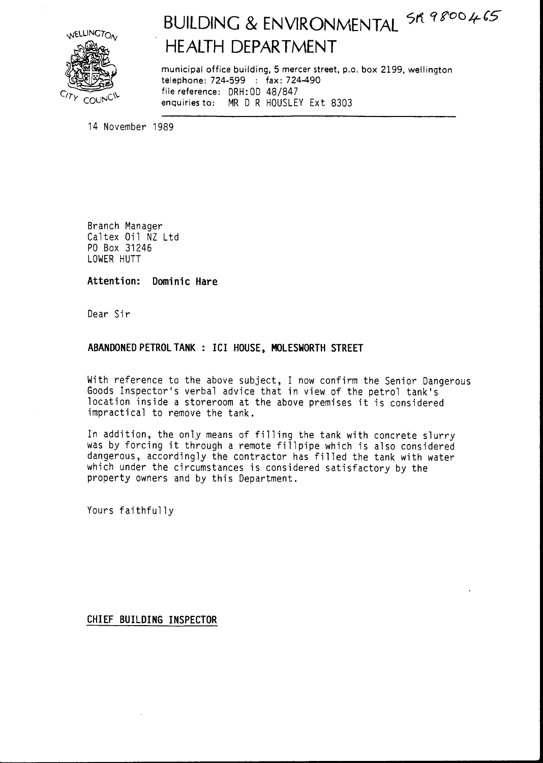

# BUILDING & ENVIRONMENTAL SR 9800465 **HEAITH DEPARTMENT**

municipal office building, 5 mercer street, p.o. box 2199, wellington telephone: 724-599 : fax: 724-490 file reference: DRH: 0D 48/847 enquiries to: MR D R HOUSLEY Ext 8303

14 November 1989

Branch Manager Caltex Oil NZ Ltd PO Box 31246 LOWER HUTT

Attention: Dominic Hare

Dear Sir

#### ABANDONED PETROL TANK : ICI HOUSE, MOLESWORTH STREET

With reference to the above subject, I now confirm the Senior Dangerous Goods Inspector's verbal advice that in view of the petrol tank's location inside a storeroom at the above premises it is considered impractical to remove the tank.

In addition, the only means of filling the tank with concrete slurry was by forcing it through a remote fillpipe which is also considered dangerous, accordingly the contractor has filled the tank with water which under the circumstances is considered satisfactory by the property owners and by this Department.

Yours faithfully

CHIEF BUILDING INSPECTOR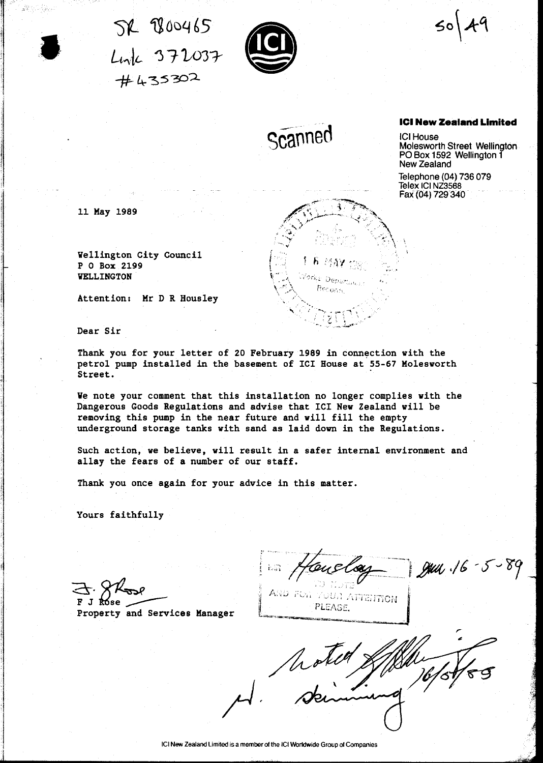$5k$   $800465$ Link 372037  $#435302$ 



 $\mathsf{So}$ 

Scanned

Yorke Depart **Becoming** 

#### **ICI New Zealand Limited**

**ICI House** Molesworth Street Wellington PO Box 1592 Wellington 1 New Zealand

Telephone (04) 736 079 Telex ICI NZ3568 Fax (04) 729 340

11 May 1989

Wellington City Council P 0 Box 2199 **VELLINGTON** 

Attention: Mr D R Housley

Dear Sir

Thank you for your letter of 20 February 1989 in connection with the petrol pump installed in the basement of ICI House at 55-67 Molesworth Street.

We note your comment that this installation no longer complies with the Dangerous Goods Regulations and advise that ICI New Zealand will be removing this pump in the near future and will fill the empty underground storage tanks with sand as laid down in the Regulations.

Such action, we believe, will result in a safer internal environment and allay the fears of a number of our staff.

Thank you once again for your advice in this matter.

Yours faithfully

May 16-5-89

AND FOR YOUR AFTERFION PLEASE.

Property and Services Manager

Motion